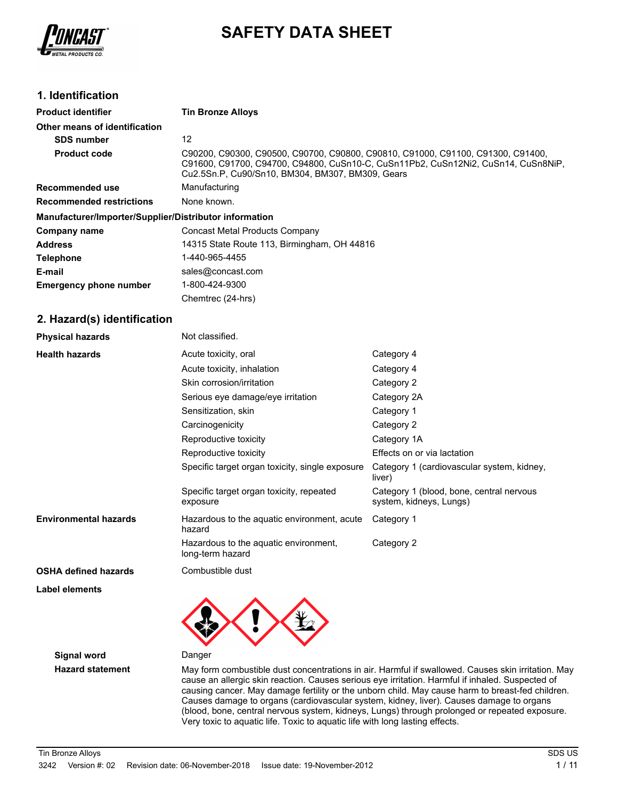

# **SAFETY DATA SHEET**

### **1. Identification**

| <b>Product identifier</b>                              | <b>Tin Bronze Alloys</b>                                                                                                                                                                                                 |
|--------------------------------------------------------|--------------------------------------------------------------------------------------------------------------------------------------------------------------------------------------------------------------------------|
| Other means of identification                          |                                                                                                                                                                                                                          |
| <b>SDS number</b>                                      | 12                                                                                                                                                                                                                       |
| <b>Product code</b>                                    | C90200, C90300, C90500, C90700, C90800, C90810, C91000, C91100, C91300, C91400,<br>C91600, C91700, C94700, C94800, CuSn10-C, CuSn11Pb2, CuSn12Ni2, CuSn14, CuSn8NiP,<br>Cu2.5Sn.P, Cu90/Sn10, BM304, BM307, BM309, Gears |
| Recommended use                                        | Manufacturing                                                                                                                                                                                                            |
| <b>Recommended restrictions</b>                        | None known.                                                                                                                                                                                                              |
| Manufacturer/Importer/Supplier/Distributor information |                                                                                                                                                                                                                          |
| Company name                                           | Concast Metal Products Company                                                                                                                                                                                           |
| <b>Address</b>                                         | 14315 State Route 113, Birmingham, OH 44816                                                                                                                                                                              |
| <b>Telephone</b>                                       | 1-440-965-4455                                                                                                                                                                                                           |
| E-mail                                                 | sales@concast.com                                                                                                                                                                                                        |
| <b>Emergency phone number</b>                          | 1-800-424-9300                                                                                                                                                                                                           |
|                                                        | Chemtrec (24-hrs)                                                                                                                                                                                                        |

### **2. Hazard(s) identification**

| <b>Physical hazards</b>      | Not classified.                                           |                                                                     |
|------------------------------|-----------------------------------------------------------|---------------------------------------------------------------------|
| <b>Health hazards</b>        | Acute toxicity, oral                                      | Category 4                                                          |
|                              | Acute toxicity, inhalation                                | Category 4                                                          |
|                              | Skin corrosion/irritation                                 | Category 2                                                          |
|                              | Serious eye damage/eye irritation                         | Category 2A                                                         |
|                              | Sensitization, skin                                       | Category 1                                                          |
|                              | Carcinogenicity                                           | Category 2                                                          |
|                              | Reproductive toxicity                                     | Category 1A                                                         |
|                              | Reproductive toxicity                                     | Effects on or via lactation                                         |
|                              | Specific target organ toxicity, single exposure           | Category 1 (cardiovascular system, kidney,<br>liver)                |
|                              | Specific target organ toxicity, repeated<br>exposure      | Category 1 (blood, bone, central nervous<br>system, kidneys, Lungs) |
| <b>Environmental hazards</b> | Hazardous to the aquatic environment, acute<br>hazard     | Category 1                                                          |
|                              | Hazardous to the aquatic environment,<br>long-term hazard | Category 2                                                          |
| <b>OSHA defined hazards</b>  | Combustible dust                                          |                                                                     |

**Label elements**



**Signal word** Danger

**Hazard statement** May form combustible dust concentrations in air. Harmful if swallowed. Causes skin irritation. May cause an allergic skin reaction. Causes serious eye irritation. Harmful if inhaled. Suspected of causing cancer. May damage fertility or the unborn child. May cause harm to breast-fed children. Causes damage to organs (cardiovascular system, kidney, liver). Causes damage to organs (blood, bone, central nervous system, kidneys, Lungs) through prolonged or repeated exposure. Very toxic to aquatic life. Toxic to aquatic life with long lasting effects.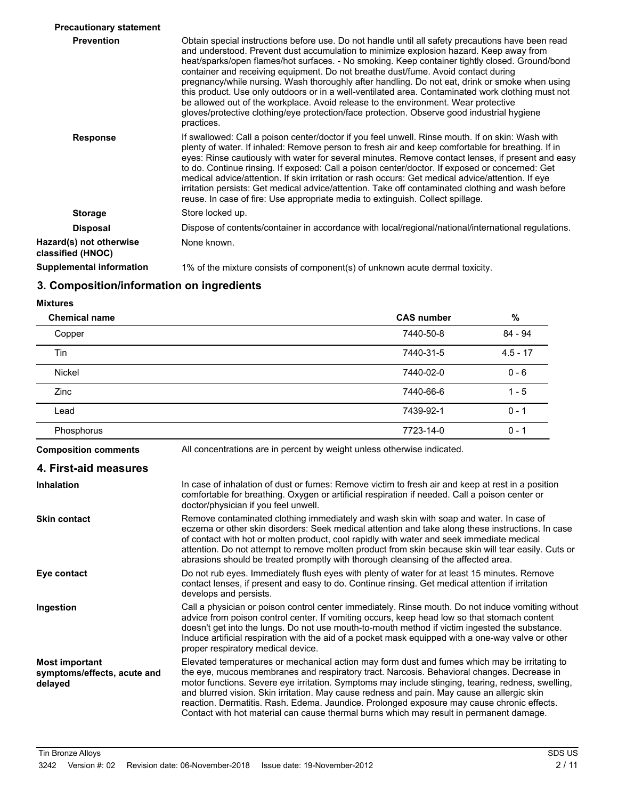| <b>Precautionary statement</b>               |                                                                                                                                                                                                                                                                                                                                                                                                                                                                                                                                                                                                                                                                                                                                                                                             |
|----------------------------------------------|---------------------------------------------------------------------------------------------------------------------------------------------------------------------------------------------------------------------------------------------------------------------------------------------------------------------------------------------------------------------------------------------------------------------------------------------------------------------------------------------------------------------------------------------------------------------------------------------------------------------------------------------------------------------------------------------------------------------------------------------------------------------------------------------|
| <b>Prevention</b>                            | Obtain special instructions before use. Do not handle until all safety precautions have been read<br>and understood. Prevent dust accumulation to minimize explosion hazard. Keep away from<br>heat/sparks/open flames/hot surfaces. - No smoking. Keep container tightly closed. Ground/bond<br>container and receiving equipment. Do not breathe dust/fume. Avoid contact during<br>pregnancy/while nursing. Wash thoroughly after handling. Do not eat, drink or smoke when using<br>this product. Use only outdoors or in a well-ventilated area. Contaminated work clothing must not<br>be allowed out of the workplace. Avoid release to the environment. Wear protective<br>gloves/protective clothing/eye protection/face protection. Observe good industrial hygiene<br>practices. |
| <b>Response</b>                              | If swallowed: Call a poison center/doctor if you feel unwell. Rinse mouth. If on skin: Wash with<br>plenty of water. If inhaled: Remove person to fresh air and keep comfortable for breathing. If in<br>eyes: Rinse cautiously with water for several minutes. Remove contact lenses, if present and easy<br>to do. Continue rinsing. If exposed: Call a poison center/doctor. If exposed or concerned: Get<br>medical advice/attention. If skin irritation or rash occurs: Get medical advice/attention. If eye<br>irritation persists: Get medical advice/attention. Take off contaminated clothing and wash before<br>reuse. In case of fire: Use appropriate media to extinguish. Collect spillage.                                                                                    |
| <b>Storage</b>                               | Store locked up.                                                                                                                                                                                                                                                                                                                                                                                                                                                                                                                                                                                                                                                                                                                                                                            |
| <b>Disposal</b>                              | Dispose of contents/container in accordance with local/regional/national/international regulations.                                                                                                                                                                                                                                                                                                                                                                                                                                                                                                                                                                                                                                                                                         |
| Hazard(s) not otherwise<br>classified (HNOC) | None known.                                                                                                                                                                                                                                                                                                                                                                                                                                                                                                                                                                                                                                                                                                                                                                                 |
| <b>Supplemental information</b>              | 1% of the mixture consists of component(s) of unknown acute dermal toxicity.                                                                                                                                                                                                                                                                                                                                                                                                                                                                                                                                                                                                                                                                                                                |

# **3. Composition/information on ingredients**

#### **Mixtures**

| <b>Chemical name</b>                                            |                                                                                                                                                                                                                                                                                                                                                                                                                                                                                                                                                                                           | <b>CAS number</b> | %          |
|-----------------------------------------------------------------|-------------------------------------------------------------------------------------------------------------------------------------------------------------------------------------------------------------------------------------------------------------------------------------------------------------------------------------------------------------------------------------------------------------------------------------------------------------------------------------------------------------------------------------------------------------------------------------------|-------------------|------------|
| Copper                                                          |                                                                                                                                                                                                                                                                                                                                                                                                                                                                                                                                                                                           | 7440-50-8         | 84 - 94    |
| Tin                                                             |                                                                                                                                                                                                                                                                                                                                                                                                                                                                                                                                                                                           | 7440-31-5         | $4.5 - 17$ |
| Nickel                                                          |                                                                                                                                                                                                                                                                                                                                                                                                                                                                                                                                                                                           | 7440-02-0         | $0 - 6$    |
| Zinc                                                            |                                                                                                                                                                                                                                                                                                                                                                                                                                                                                                                                                                                           | 7440-66-6         | $1 - 5$    |
| Lead                                                            |                                                                                                                                                                                                                                                                                                                                                                                                                                                                                                                                                                                           | 7439-92-1         | $0 - 1$    |
| Phosphorus                                                      |                                                                                                                                                                                                                                                                                                                                                                                                                                                                                                                                                                                           | 7723-14-0         | $0 - 1$    |
| <b>Composition comments</b>                                     | All concentrations are in percent by weight unless otherwise indicated.                                                                                                                                                                                                                                                                                                                                                                                                                                                                                                                   |                   |            |
| 4. First-aid measures                                           |                                                                                                                                                                                                                                                                                                                                                                                                                                                                                                                                                                                           |                   |            |
| <b>Inhalation</b>                                               | In case of inhalation of dust or fumes: Remove victim to fresh air and keep at rest in a position<br>comfortable for breathing. Oxygen or artificial respiration if needed. Call a poison center or<br>doctor/physician if you feel unwell.                                                                                                                                                                                                                                                                                                                                               |                   |            |
| <b>Skin contact</b>                                             | Remove contaminated clothing immediately and wash skin with soap and water. In case of<br>eczema or other skin disorders: Seek medical attention and take along these instructions. In case<br>of contact with hot or molten product, cool rapidly with water and seek immediate medical<br>attention. Do not attempt to remove molten product from skin because skin will tear easily. Cuts or<br>abrasions should be treated promptly with thorough cleansing of the affected area.                                                                                                     |                   |            |
| Eye contact                                                     | Do not rub eyes. Immediately flush eyes with plenty of water for at least 15 minutes. Remove<br>contact lenses, if present and easy to do. Continue rinsing. Get medical attention if irritation<br>develops and persists.                                                                                                                                                                                                                                                                                                                                                                |                   |            |
| Ingestion                                                       | Call a physician or poison control center immediately. Rinse mouth. Do not induce vomiting without<br>advice from poison control center. If vomiting occurs, keep head low so that stomach content<br>doesn't get into the lungs. Do not use mouth-to-mouth method if victim ingested the substance.<br>Induce artificial respiration with the aid of a pocket mask equipped with a one-way valve or other<br>proper respiratory medical device.                                                                                                                                          |                   |            |
| <b>Most important</b><br>symptoms/effects, acute and<br>delayed | Elevated temperatures or mechanical action may form dust and fumes which may be irritating to<br>the eye, mucous membranes and respiratory tract. Narcosis. Behavioral changes. Decrease in<br>motor functions. Severe eye irritation. Symptoms may include stinging, tearing, redness, swelling,<br>and blurred vision. Skin irritation. May cause redness and pain. May cause an allergic skin<br>reaction. Dermatitis. Rash. Edema. Jaundice. Prolonged exposure may cause chronic effects.<br>Contact with hot material can cause thermal burns which may result in permanent damage. |                   |            |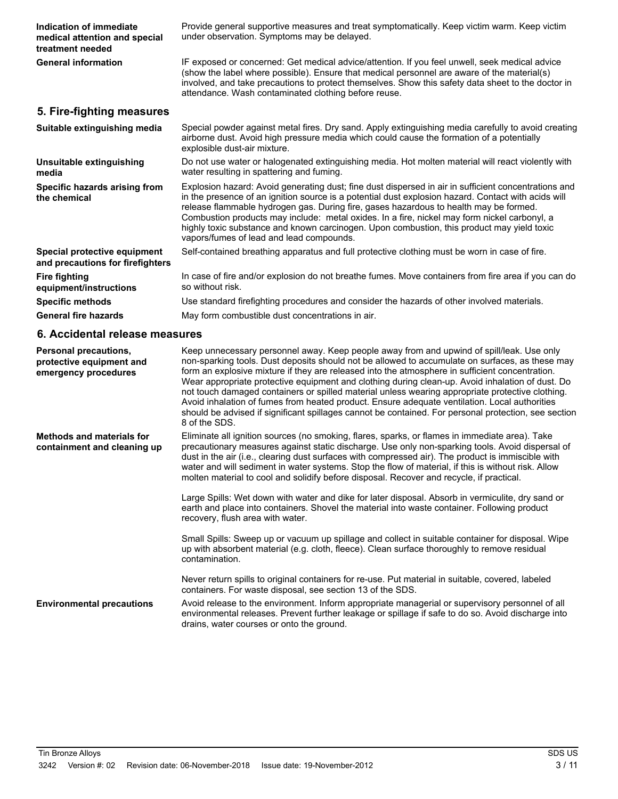| Indication of immediate<br>medical attention and special<br>treatment needed | Provide general supportive measures and treat symptomatically. Keep victim warm. Keep victim<br>under observation. Symptoms may be delayed.                                                                                                                                                                                                                                                                                                                                                                                                                                                                                                                                                                                       |
|------------------------------------------------------------------------------|-----------------------------------------------------------------------------------------------------------------------------------------------------------------------------------------------------------------------------------------------------------------------------------------------------------------------------------------------------------------------------------------------------------------------------------------------------------------------------------------------------------------------------------------------------------------------------------------------------------------------------------------------------------------------------------------------------------------------------------|
| <b>General information</b>                                                   | IF exposed or concerned: Get medical advice/attention. If you feel unwell, seek medical advice<br>(show the label where possible). Ensure that medical personnel are aware of the material(s)<br>involved, and take precautions to protect themselves. Show this safety data sheet to the doctor in<br>attendance. Wash contaminated clothing before reuse.                                                                                                                                                                                                                                                                                                                                                                       |
| 5. Fire-fighting measures                                                    |                                                                                                                                                                                                                                                                                                                                                                                                                                                                                                                                                                                                                                                                                                                                   |
| Suitable extinguishing media                                                 | Special powder against metal fires. Dry sand. Apply extinguishing media carefully to avoid creating<br>airborne dust. Avoid high pressure media which could cause the formation of a potentially<br>explosible dust-air mixture.                                                                                                                                                                                                                                                                                                                                                                                                                                                                                                  |
| Unsuitable extinguishing<br>media                                            | Do not use water or halogenated extinguishing media. Hot molten material will react violently with<br>water resulting in spattering and fuming.                                                                                                                                                                                                                                                                                                                                                                                                                                                                                                                                                                                   |
| Specific hazards arising from<br>the chemical                                | Explosion hazard: Avoid generating dust; fine dust dispersed in air in sufficient concentrations and<br>in the presence of an ignition source is a potential dust explosion hazard. Contact with acids will<br>release flammable hydrogen gas. During fire, gases hazardous to health may be formed.<br>Combustion products may include: metal oxides. In a fire, nickel may form nickel carbonyl, a<br>highly toxic substance and known carcinogen. Upon combustion, this product may yield toxic<br>vapors/fumes of lead and lead compounds.                                                                                                                                                                                    |
| Special protective equipment<br>and precautions for firefighters             | Self-contained breathing apparatus and full protective clothing must be worn in case of fire.                                                                                                                                                                                                                                                                                                                                                                                                                                                                                                                                                                                                                                     |
| <b>Fire fighting</b><br>equipment/instructions                               | In case of fire and/or explosion do not breathe fumes. Move containers from fire area if you can do<br>so without risk.                                                                                                                                                                                                                                                                                                                                                                                                                                                                                                                                                                                                           |
| <b>Specific methods</b>                                                      | Use standard firefighting procedures and consider the hazards of other involved materials.                                                                                                                                                                                                                                                                                                                                                                                                                                                                                                                                                                                                                                        |
| <b>General fire hazards</b>                                                  | May form combustible dust concentrations in air.                                                                                                                                                                                                                                                                                                                                                                                                                                                                                                                                                                                                                                                                                  |
| 6. Accidental release measures                                               |                                                                                                                                                                                                                                                                                                                                                                                                                                                                                                                                                                                                                                                                                                                                   |
|                                                                              |                                                                                                                                                                                                                                                                                                                                                                                                                                                                                                                                                                                                                                                                                                                                   |
| Personal precautions,<br>protective equipment and<br>emergency procedures    | Keep unnecessary personnel away. Keep people away from and upwind of spill/leak. Use only<br>non-sparking tools. Dust deposits should not be allowed to accumulate on surfaces, as these may<br>form an explosive mixture if they are released into the atmosphere in sufficient concentration.<br>Wear appropriate protective equipment and clothing during clean-up. Avoid inhalation of dust. Do<br>not touch damaged containers or spilled material unless wearing appropriate protective clothing.<br>Avoid inhalation of fumes from heated product. Ensure adequate ventilation. Local authorities<br>should be advised if significant spillages cannot be contained. For personal protection, see section<br>8 of the SDS. |
| <b>Methods and materials for</b><br>containment and cleaning up              | Eliminate all ignition sources (no smoking, flares, sparks, or flames in immediate area). Take<br>precautionary measures against static discharge. Use only non-sparking tools. Avoid dispersal of<br>dust in the air (i.e., clearing dust surfaces with compressed air). The product is immiscible with<br>water and will sediment in water systems. Stop the flow of material, if this is without risk. Allow<br>molten material to cool and solidify before disposal. Recover and recycle, if practical.                                                                                                                                                                                                                       |
|                                                                              | Large Spills: Wet down with water and dike for later disposal. Absorb in vermiculite, dry sand or<br>earth and place into containers. Shovel the material into waste container. Following product<br>recovery, flush area with water.                                                                                                                                                                                                                                                                                                                                                                                                                                                                                             |
|                                                                              | Small Spills: Sweep up or vacuum up spillage and collect in suitable container for disposal. Wipe<br>up with absorbent material (e.g. cloth, fleece). Clean surface thoroughly to remove residual<br>contamination.                                                                                                                                                                                                                                                                                                                                                                                                                                                                                                               |
|                                                                              | Never return spills to original containers for re-use. Put material in suitable, covered, labeled<br>containers. For waste disposal, see section 13 of the SDS.                                                                                                                                                                                                                                                                                                                                                                                                                                                                                                                                                                   |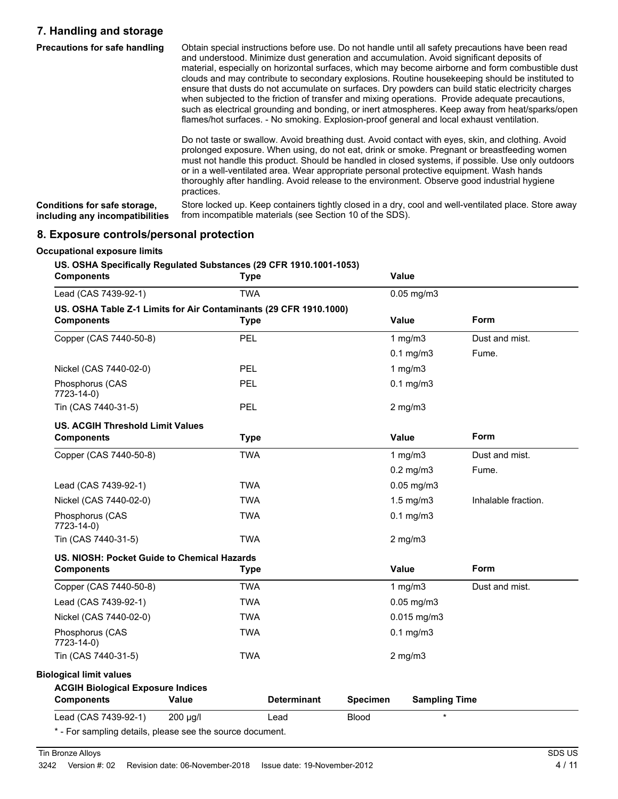## **7. Handling and storage**

| <b>Precautions for safe handling</b> | Obtain special instructions before use. Do not handle until all safety precautions have been read<br>and understood. Minimize dust generation and accumulation. Avoid significant deposits of<br>material, especially on horizontal surfaces, which may become airborne and form combustible dust<br>clouds and may contribute to secondary explosions. Routine housekeeping should be instituted to<br>ensure that dusts do not accumulate on surfaces. Dry powders can build static electricity charges<br>when subjected to the friction of transfer and mixing operations. Provide adequate precautions,<br>such as electrical grounding and bonding, or inert atmospheres. Keep away from heat/sparks/open<br>flames/hot surfaces. - No smoking. Explosion-proof general and local exhaust ventilation. |
|--------------------------------------|--------------------------------------------------------------------------------------------------------------------------------------------------------------------------------------------------------------------------------------------------------------------------------------------------------------------------------------------------------------------------------------------------------------------------------------------------------------------------------------------------------------------------------------------------------------------------------------------------------------------------------------------------------------------------------------------------------------------------------------------------------------------------------------------------------------|
|                                      | Do not taste or swallow. Avoid breathing dust. Avoid contact with eyes, skin, and clothing. Avoid<br>prolonged exposure. When using, do not eat, drink or smoke. Pregnant or breastfeeding women<br>must not handle this product. Should be handled in closed systems, if possible. Use only outdoors<br>or in a well-ventilated area. Wear appropriate personal protective equipment. Wash hands<br>thoroughly after handling. Avoid release to the environment. Observe good industrial hygiene<br>practices.                                                                                                                                                                                                                                                                                              |
| Canditiona for oafo atorono          | Store locked up. Keep containers tightly closed in a dry, cool and well ventilated place. Store away                                                                                                                                                                                                                                                                                                                                                                                                                                                                                                                                                                                                                                                                                                         |

Store locked up. Keep containers tightly closed in a dry, cool and well-ventilated place. Store away from incompatible materials (see Section 10 of the SDS). **Conditions for safe storage, including any incompatibilities**

### **8. Exposure controls/personal protection**

| <b>Components</b>                                                                      | <b>Type</b> |                    |                 | Value                |                     |
|----------------------------------------------------------------------------------------|-------------|--------------------|-----------------|----------------------|---------------------|
| Lead (CAS 7439-92-1)                                                                   | <b>TWA</b>  |                    |                 | $0.05$ mg/m $3$      |                     |
| US. OSHA Table Z-1 Limits for Air Contaminants (29 CFR 1910.1000)<br><b>Components</b> | <b>Type</b> |                    |                 | Value                | Form                |
| Copper (CAS 7440-50-8)                                                                 | PEL         |                    |                 | 1 $mg/m3$            | Dust and mist.      |
|                                                                                        |             |                    |                 | $0.1$ mg/m $3$       | Fume.               |
| Nickel (CAS 7440-02-0)                                                                 | <b>PEL</b>  |                    |                 | 1 $mg/m3$            |                     |
| Phosphorus (CAS<br>7723-14-0)                                                          | PEL         |                    |                 | $0.1$ mg/m $3$       |                     |
| Tin (CAS 7440-31-5)                                                                    | <b>PEL</b>  |                    |                 | $2$ mg/m $3$         |                     |
| <b>US. ACGIH Threshold Limit Values</b><br><b>Components</b>                           | <b>Type</b> |                    |                 | Value                | Form                |
| Copper (CAS 7440-50-8)                                                                 | <b>TWA</b>  |                    |                 | 1 $mg/m3$            | Dust and mist.      |
|                                                                                        |             |                    |                 | $0.2$ mg/m $3$       | Fume.               |
| Lead (CAS 7439-92-1)                                                                   | <b>TWA</b>  |                    |                 | $0.05$ mg/m $3$      |                     |
| Nickel (CAS 7440-02-0)                                                                 | <b>TWA</b>  |                    |                 | $1.5$ mg/m $3$       | Inhalable fraction. |
| Phosphorus (CAS<br>7723-14-0)                                                          | <b>TWA</b>  |                    |                 | $0.1$ mg/m $3$       |                     |
| Tin (CAS 7440-31-5)                                                                    | <b>TWA</b>  |                    |                 | $2$ mg/m $3$         |                     |
| US. NIOSH: Pocket Guide to Chemical Hazards                                            |             |                    |                 |                      |                     |
| <b>Components</b>                                                                      | <b>Type</b> |                    |                 | Value                | <b>Form</b>         |
| Copper (CAS 7440-50-8)                                                                 | <b>TWA</b>  |                    |                 | 1 $mg/m3$            | Dust and mist.      |
| Lead (CAS 7439-92-1)                                                                   | <b>TWA</b>  |                    |                 | $0.05$ mg/m $3$      |                     |
| Nickel (CAS 7440-02-0)                                                                 | <b>TWA</b>  |                    |                 | $0.015$ mg/m3        |                     |
| Phosphorus (CAS<br>7723-14-0)                                                          | <b>TWA</b>  |                    |                 | $0.1$ mg/m $3$       |                     |
| Tin (CAS 7440-31-5)                                                                    | <b>TWA</b>  |                    |                 | $2$ mg/m $3$         |                     |
| <b>Biological limit values</b>                                                         |             |                    |                 |                      |                     |
| <b>ACGIH Biological Exposure Indices</b><br><b>Components</b>                          | Value       | <b>Determinant</b> | <b>Specimen</b> | <b>Sampling Time</b> |                     |
| Lead (CAS 7439-92-1)                                                                   | 200 µg/l    | Lead               | <b>Blood</b>    | $\star$              |                     |
|                                                                                        |             |                    |                 |                      |                     |

Tin Bronze Alloys SDS US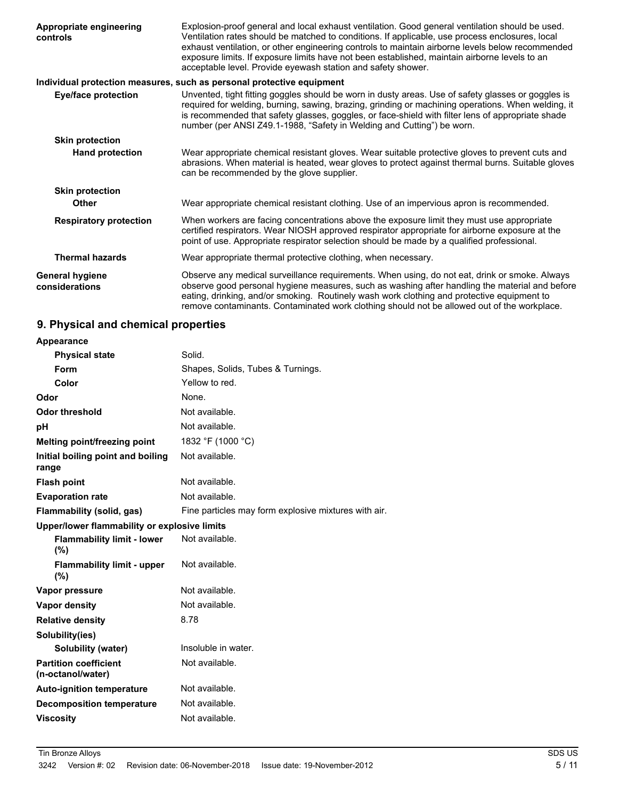| Appropriate engineering<br>controls      | Explosion-proof general and local exhaust ventilation. Good general ventilation should be used.<br>Ventilation rates should be matched to conditions. If applicable, use process enclosures, local<br>exhaust ventilation, or other engineering controls to maintain airborne levels below recommended<br>exposure limits. If exposure limits have not been established, maintain airborne levels to an<br>acceptable level. Provide eyewash station and safety shower. |
|------------------------------------------|-------------------------------------------------------------------------------------------------------------------------------------------------------------------------------------------------------------------------------------------------------------------------------------------------------------------------------------------------------------------------------------------------------------------------------------------------------------------------|
|                                          | Individual protection measures, such as personal protective equipment                                                                                                                                                                                                                                                                                                                                                                                                   |
| <b>Eye/face protection</b>               | Unvented, tight fitting goggles should be worn in dusty areas. Use of safety glasses or goggles is<br>required for welding, burning, sawing, brazing, grinding or machining operations. When welding, it<br>is recommended that safety glasses, goggles, or face-shield with filter lens of appropriate shade<br>number (per ANSI Z49.1-1988, "Safety in Welding and Cutting") be worn.                                                                                 |
| <b>Skin protection</b>                   |                                                                                                                                                                                                                                                                                                                                                                                                                                                                         |
| <b>Hand protection</b>                   | Wear appropriate chemical resistant gloves. Wear suitable protective gloves to prevent cuts and<br>abrasions. When material is heated, wear gloves to protect against thermal burns. Suitable gloves<br>can be recommended by the glove supplier.                                                                                                                                                                                                                       |
| <b>Skin protection</b>                   |                                                                                                                                                                                                                                                                                                                                                                                                                                                                         |
| Other                                    | Wear appropriate chemical resistant clothing. Use of an impervious apron is recommended.                                                                                                                                                                                                                                                                                                                                                                                |
| <b>Respiratory protection</b>            | When workers are facing concentrations above the exposure limit they must use appropriate<br>certified respirators. Wear NIOSH approved respirator appropriate for airborne exposure at the<br>point of use. Appropriate respirator selection should be made by a qualified professional.                                                                                                                                                                               |
| <b>Thermal hazards</b>                   | Wear appropriate thermal protective clothing, when necessary.                                                                                                                                                                                                                                                                                                                                                                                                           |
| <b>General hygiene</b><br>considerations | Observe any medical surveillance requirements. When using, do not eat, drink or smoke. Always<br>observe good personal hygiene measures, such as washing after handling the material and before<br>eating, drinking, and/or smoking. Routinely wash work clothing and protective equipment to<br>remove contaminants. Contaminated work clothing should not be allowed out of the workplace.                                                                            |

# **9. Physical and chemical properties**

| <b>Appearance</b>                                 |                                                      |
|---------------------------------------------------|------------------------------------------------------|
| <b>Physical state</b>                             | Solid.                                               |
| Form                                              | Shapes, Solids, Tubes & Turnings.                    |
| Color                                             | Yellow to red.                                       |
| Odor                                              | None.                                                |
| Odor threshold                                    | Not available.                                       |
| рH                                                | Not available.                                       |
| Melting point/freezing point                      | 1832 °F (1000 °C)                                    |
| Initial boiling point and boiling<br>range        | Not available.                                       |
| <b>Flash point</b>                                | Not available.                                       |
| <b>Evaporation rate</b>                           | Not available.                                       |
| Flammability (solid, gas)                         | Fine particles may form explosive mixtures with air. |
| Upper/lower flammability or explosive limits      |                                                      |
| <b>Flammability limit - lower</b><br>(%)          | Not available.                                       |
| <b>Flammability limit - upper</b><br>(%)          | Not available.                                       |
| Vapor pressure                                    | Not available.                                       |
| <b>Vapor density</b>                              | Not available.                                       |
| <b>Relative density</b>                           | 8.78                                                 |
| Solubility(ies)                                   |                                                      |
| Solubility (water)                                | Insoluble in water.                                  |
| <b>Partition coefficient</b><br>(n-octanol/water) | Not available.                                       |
| <b>Auto-ignition temperature</b>                  | Not available.                                       |
| <b>Decomposition temperature</b>                  | Not available.                                       |
| <b>Viscosity</b>                                  | Not available.                                       |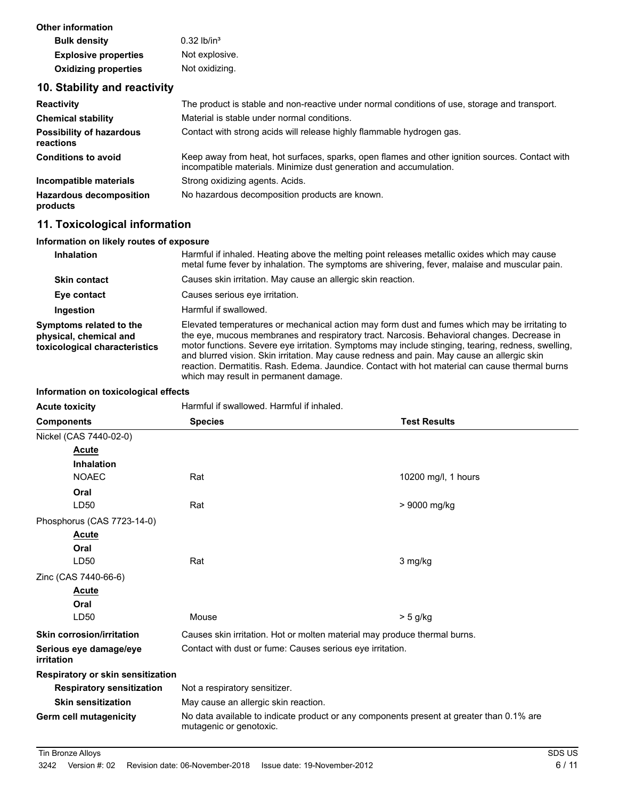| Other information           |                           |
|-----------------------------|---------------------------|
| <b>Bulk density</b>         | $0.32$ lb/in <sup>3</sup> |
| <b>Explosive properties</b> | Not explosive.            |
| <b>Oxidizing properties</b> | Not oxidizing.            |

### **10. Stability and reactivity**

| <b>Reactivity</b>                            | The product is stable and non-reactive under normal conditions of use, storage and transport.                                                                         |
|----------------------------------------------|-----------------------------------------------------------------------------------------------------------------------------------------------------------------------|
| <b>Chemical stability</b>                    | Material is stable under normal conditions.                                                                                                                           |
| <b>Possibility of hazardous</b><br>reactions | Contact with strong acids will release highly flammable hydrogen gas.                                                                                                 |
| <b>Conditions to avoid</b>                   | Keep away from heat, hot surfaces, sparks, open flames and other ignition sources. Contact with<br>incompatible materials. Minimize dust generation and accumulation. |
| Incompatible materials                       | Strong oxidizing agents. Acids.                                                                                                                                       |
| <b>Hazardous decomposition</b><br>products   | No hazardous decomposition products are known.                                                                                                                        |

# **11. Toxicological information**

### **Information on likely routes of exposure**

| <b>Inhalation</b>                                                                  | Harmful if inhaled. Heating above the melting point releases metallic oxides which may cause<br>metal fume fever by inhalation. The symptoms are shivering, fever, malaise and muscular pain.                                                                                                                                                                                                                                                                                                                                               |
|------------------------------------------------------------------------------------|---------------------------------------------------------------------------------------------------------------------------------------------------------------------------------------------------------------------------------------------------------------------------------------------------------------------------------------------------------------------------------------------------------------------------------------------------------------------------------------------------------------------------------------------|
| <b>Skin contact</b>                                                                | Causes skin irritation. May cause an allergic skin reaction.                                                                                                                                                                                                                                                                                                                                                                                                                                                                                |
| Eye contact                                                                        | Causes serious eve irritation.                                                                                                                                                                                                                                                                                                                                                                                                                                                                                                              |
| Ingestion                                                                          | Harmful if swallowed.                                                                                                                                                                                                                                                                                                                                                                                                                                                                                                                       |
| Symptoms related to the<br>physical, chemical and<br>toxicological characteristics | Elevated temperatures or mechanical action may form dust and fumes which may be irritating to<br>the eye, mucous membranes and respiratory tract. Narcosis. Behavioral changes. Decrease in<br>motor functions. Severe eye irritation. Symptoms may include stinging, tearing, redness, swelling,<br>and blurred vision. Skin irritation. May cause redness and pain. May cause an allergic skin<br>reaction. Dermatitis. Rash. Edema. Jaundice. Contact with hot material can cause thermal burns<br>which may result in permanent damage. |

#### **Information on toxicological effects**

| <b>Acute toxicity</b>                | Harmful if swallowed. Harmful if inhaled.                                                                           |                     |  |
|--------------------------------------|---------------------------------------------------------------------------------------------------------------------|---------------------|--|
| <b>Components</b>                    | <b>Species</b>                                                                                                      | <b>Test Results</b> |  |
| Nickel (CAS 7440-02-0)               |                                                                                                                     |                     |  |
| <b>Acute</b>                         |                                                                                                                     |                     |  |
| <b>Inhalation</b>                    |                                                                                                                     |                     |  |
| <b>NOAEC</b>                         | Rat                                                                                                                 | 10200 mg/l, 1 hours |  |
| Oral                                 |                                                                                                                     |                     |  |
| LD50                                 | Rat                                                                                                                 | > 9000 mg/kg        |  |
| Phosphorus (CAS 7723-14-0)           |                                                                                                                     |                     |  |
| <b>Acute</b>                         |                                                                                                                     |                     |  |
| Oral                                 |                                                                                                                     |                     |  |
| LD50                                 | Rat                                                                                                                 | 3 mg/kg             |  |
| Zinc (CAS 7440-66-6)                 |                                                                                                                     |                     |  |
| <b>Acute</b>                         |                                                                                                                     |                     |  |
| Oral                                 |                                                                                                                     |                     |  |
| LD50                                 | Mouse                                                                                                               | $> 5$ g/kg          |  |
| <b>Skin corrosion/irritation</b>     | Causes skin irritation. Hot or molten material may produce thermal burns.                                           |                     |  |
| Serious eye damage/eye<br>irritation | Contact with dust or fume: Causes serious eye irritation.                                                           |                     |  |
| Respiratory or skin sensitization    |                                                                                                                     |                     |  |
| <b>Respiratory sensitization</b>     | Not a respiratory sensitizer.                                                                                       |                     |  |
| <b>Skin sensitization</b>            | May cause an allergic skin reaction.                                                                                |                     |  |
| Germ cell mutagenicity               | No data available to indicate product or any components present at greater than 0.1% are<br>mutagenic or genotoxic. |                     |  |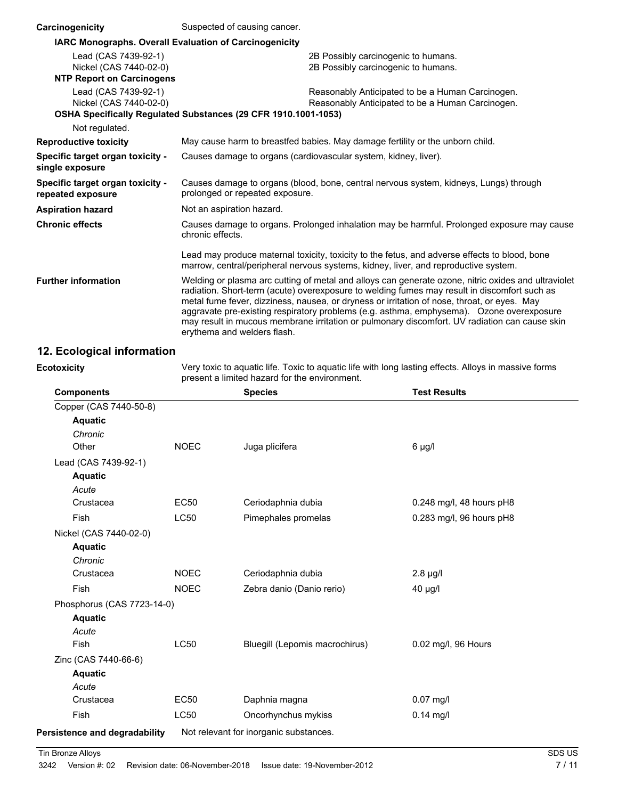| Carcinogenicity                                                                    | Suspected of causing cancer.                                                                                                                                                                                                                                                                                                                                                                                                                                                                                                   |  |  |
|------------------------------------------------------------------------------------|--------------------------------------------------------------------------------------------------------------------------------------------------------------------------------------------------------------------------------------------------------------------------------------------------------------------------------------------------------------------------------------------------------------------------------------------------------------------------------------------------------------------------------|--|--|
| IARC Monographs. Overall Evaluation of Carcinogenicity                             |                                                                                                                                                                                                                                                                                                                                                                                                                                                                                                                                |  |  |
| Lead (CAS 7439-92-1)<br>Nickel (CAS 7440-02-0)<br><b>NTP Report on Carcinogens</b> | 2B Possibly carcinogenic to humans.<br>2B Possibly carcinogenic to humans.                                                                                                                                                                                                                                                                                                                                                                                                                                                     |  |  |
|                                                                                    |                                                                                                                                                                                                                                                                                                                                                                                                                                                                                                                                |  |  |
| Lead (CAS 7439-92-1)<br>Nickel (CAS 7440-02-0)                                     | Reasonably Anticipated to be a Human Carcinogen.<br>Reasonably Anticipated to be a Human Carcinogen.                                                                                                                                                                                                                                                                                                                                                                                                                           |  |  |
|                                                                                    | OSHA Specifically Regulated Substances (29 CFR 1910.1001-1053)                                                                                                                                                                                                                                                                                                                                                                                                                                                                 |  |  |
| Not regulated.                                                                     |                                                                                                                                                                                                                                                                                                                                                                                                                                                                                                                                |  |  |
| <b>Reproductive toxicity</b>                                                       | May cause harm to breastfed babies. May damage fertility or the unborn child.                                                                                                                                                                                                                                                                                                                                                                                                                                                  |  |  |
| Specific target organ toxicity -<br>single exposure                                | Causes damage to organs (cardiovascular system, kidney, liver).                                                                                                                                                                                                                                                                                                                                                                                                                                                                |  |  |
| Specific target organ toxicity -<br>repeated exposure                              | Causes damage to organs (blood, bone, central nervous system, kidneys, Lungs) through<br>prolonged or repeated exposure.                                                                                                                                                                                                                                                                                                                                                                                                       |  |  |
| <b>Aspiration hazard</b>                                                           | Not an aspiration hazard.                                                                                                                                                                                                                                                                                                                                                                                                                                                                                                      |  |  |
| <b>Chronic effects</b>                                                             | Causes damage to organs. Prolonged inhalation may be harmful. Prolonged exposure may cause<br>chronic effects.                                                                                                                                                                                                                                                                                                                                                                                                                 |  |  |
|                                                                                    | Lead may produce maternal toxicity, toxicity to the fetus, and adverse effects to blood, bone<br>marrow, central/peripheral nervous systems, kidney, liver, and reproductive system.                                                                                                                                                                                                                                                                                                                                           |  |  |
| <b>Further information</b>                                                         | Welding or plasma arc cutting of metal and alloys can generate ozone, nitric oxides and ultraviolet<br>radiation. Short-term (acute) overexposure to welding fumes may result in discomfort such as<br>metal fume fever, dizziness, nausea, or dryness or irritation of nose, throat, or eyes. May<br>aggravate pre-existing respiratory problems (e.g. asthma, emphysema). Ozone overexposure<br>may result in mucous membrane irritation or pulmonary discomfort. UV radiation can cause skin<br>erythema and welders flash. |  |  |

# **12. Ecological information**

**Ecotoxicity**

Very toxic to aquatic life. Toxic to aquatic life with long lasting effects. Alloys in massive forms present a limited hazard for the environment.

| <b>Components</b>             |             | <b>Species</b>                         | <b>Test Results</b>      |
|-------------------------------|-------------|----------------------------------------|--------------------------|
| Copper (CAS 7440-50-8)        |             |                                        |                          |
| <b>Aquatic</b>                |             |                                        |                          |
| Chronic                       |             |                                        |                          |
| Other                         | <b>NOEC</b> | Juga plicifera                         | $6 \mu g/l$              |
| Lead (CAS 7439-92-1)          |             |                                        |                          |
| <b>Aquatic</b>                |             |                                        |                          |
| Acute                         |             |                                        |                          |
| Crustacea                     | <b>EC50</b> | Ceriodaphnia dubia                     | 0.248 mg/l, 48 hours pH8 |
| <b>Fish</b>                   | LC50        | Pimephales promelas                    | 0.283 mg/l, 96 hours pH8 |
| Nickel (CAS 7440-02-0)        |             |                                        |                          |
| <b>Aquatic</b>                |             |                                        |                          |
| Chronic                       |             |                                        |                          |
| Crustacea                     | <b>NOEC</b> | Ceriodaphnia dubia                     | $2.8 \mu g/l$            |
| Fish                          | <b>NOEC</b> | Zebra danio (Danio rerio)              | 40 µg/l                  |
| Phosphorus (CAS 7723-14-0)    |             |                                        |                          |
| <b>Aquatic</b>                |             |                                        |                          |
| Acute                         |             |                                        |                          |
| <b>Fish</b>                   | <b>LC50</b> | Bluegill (Lepomis macrochirus)         | 0.02 mg/l, 96 Hours      |
| Zinc (CAS 7440-66-6)          |             |                                        |                          |
| <b>Aquatic</b>                |             |                                        |                          |
| Acute                         |             |                                        |                          |
| Crustacea                     | <b>EC50</b> | Daphnia magna                          | $0.07$ mg/l              |
| Fish                          | <b>LC50</b> | Oncorhynchus mykiss                    | $0.14$ mg/l              |
| Persistence and degradability |             | Not relevant for inorganic substances. |                          |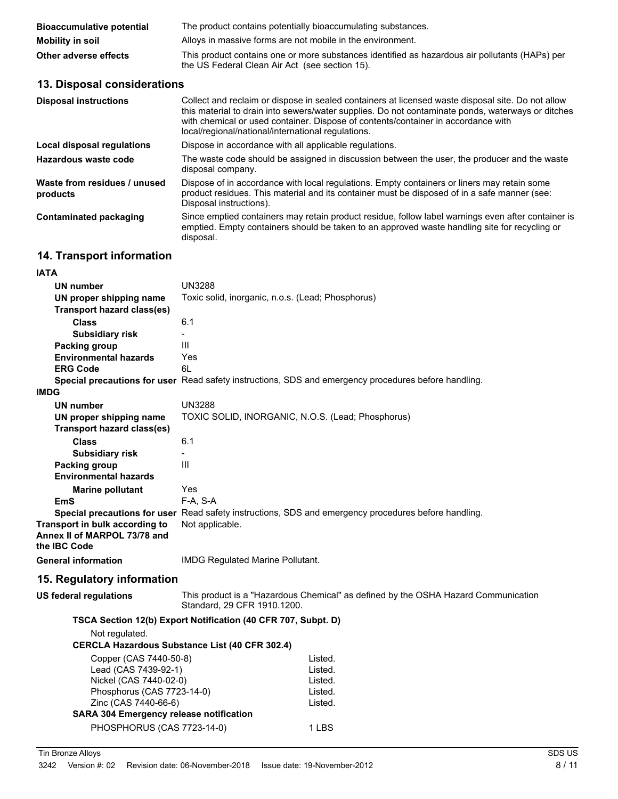| <b>Bioaccumulative potential</b> | The product contains potentially bioaccumulating substances.                                                                                     |
|----------------------------------|--------------------------------------------------------------------------------------------------------------------------------------------------|
| Mobility in soil                 | Alloys in massive forms are not mobile in the environment.                                                                                       |
| Other adverse effects            | This product contains one or more substances identified as hazardous air pollutants (HAPs) per<br>the US Federal Clean Air Act (see section 15). |

## **13. Disposal considerations**

| <b>Disposal instructions</b>             | Collect and reclaim or dispose in sealed containers at licensed waste disposal site. Do not allow<br>this material to drain into sewers/water supplies. Do not contaminate ponds, waterways or ditches<br>with chemical or used container. Dispose of contents/container in accordance with<br>local/regional/national/international regulations. |
|------------------------------------------|---------------------------------------------------------------------------------------------------------------------------------------------------------------------------------------------------------------------------------------------------------------------------------------------------------------------------------------------------|
| Local disposal regulations               | Dispose in accordance with all applicable regulations.                                                                                                                                                                                                                                                                                            |
| Hazardous waste code                     | The waste code should be assigned in discussion between the user, the producer and the waste<br>disposal company.                                                                                                                                                                                                                                 |
| Waste from residues / unused<br>products | Dispose of in accordance with local regulations. Empty containers or liners may retain some<br>product residues. This material and its container must be disposed of in a safe manner (see:<br>Disposal instructions).                                                                                                                            |
| <b>Contaminated packaging</b>            | Since emptied containers may retain product residue, follow label warnings even after container is<br>emptied. Empty containers should be taken to an approved waste handling site for recycling or<br>disposal.                                                                                                                                  |

# **14. Transport information**

| UN number<br>UN proper shipping name<br><b>Transport hazard class(es)</b><br><b>Class</b> | <b>UN3288</b><br>Toxic solid, inorganic, n.o.s. (Lead; Phosphorus)                                                      |  |  |
|-------------------------------------------------------------------------------------------|-------------------------------------------------------------------------------------------------------------------------|--|--|
| <b>Subsidiary risk</b>                                                                    | 6.1<br>$\blacksquare$                                                                                                   |  |  |
| <b>Packing group</b>                                                                      | III                                                                                                                     |  |  |
| <b>Environmental hazards</b>                                                              | Yes                                                                                                                     |  |  |
| <b>ERG Code</b>                                                                           | 6L                                                                                                                      |  |  |
|                                                                                           | Special precautions for user Read safety instructions, SDS and emergency procedures before handling.                    |  |  |
| <b>IMDG</b>                                                                               |                                                                                                                         |  |  |
| <b>UN number</b>                                                                          | <b>UN3288</b>                                                                                                           |  |  |
| UN proper shipping name                                                                   | TOXIC SOLID, INORGANIC, N.O.S. (Lead; Phosphorus)                                                                       |  |  |
| <b>Transport hazard class(es)</b>                                                         |                                                                                                                         |  |  |
| <b>Class</b>                                                                              | 6.1                                                                                                                     |  |  |
| <b>Subsidiary risk</b>                                                                    |                                                                                                                         |  |  |
| <b>Packing group</b>                                                                      | III                                                                                                                     |  |  |
| <b>Environmental hazards</b>                                                              |                                                                                                                         |  |  |
| <b>Marine pollutant</b>                                                                   | Yes                                                                                                                     |  |  |
| EmS                                                                                       | F-A, S-A                                                                                                                |  |  |
| Transport in bulk according to<br>Annex II of MARPOL 73/78 and<br>the IBC Code            | Special precautions for user Read safety instructions, SDS and emergency procedures before handling.<br>Not applicable. |  |  |
| <b>General information</b>                                                                | <b>IMDG Regulated Marine Pollutant.</b>                                                                                 |  |  |
| 15. Regulatory information                                                                |                                                                                                                         |  |  |
| <b>US federal regulations</b>                                                             | This product is a "Hazardous Chemical" as defined by the OSHA Hazard Communication<br>Standard, 29 CFR 1910.1200.       |  |  |
|                                                                                           | TSCA Section 12(b) Export Notification (40 CFR 707, Subpt. D)                                                           |  |  |
| Not regulated.                                                                            |                                                                                                                         |  |  |
|                                                                                           | <b>CERCLA Hazardous Substance List (40 CFR 302.4)</b>                                                                   |  |  |
| Copper (CAS 7440-50-8)                                                                    | Listed.                                                                                                                 |  |  |
| Lead (CAS 7439-92-1)                                                                      | Listed.                                                                                                                 |  |  |
| Nickel (CAS 7440-02-0)                                                                    | Listed.                                                                                                                 |  |  |
| Phosphorus (CAS 7723-14-0)                                                                | Listed.                                                                                                                 |  |  |
| Zinc (CAS 7440-66-6)                                                                      | Listed.                                                                                                                 |  |  |
| <b>SARA 304 Emergency release notification</b>                                            |                                                                                                                         |  |  |
| PHOSPHORUS (CAS 7723-14-0)                                                                | 1 LBS                                                                                                                   |  |  |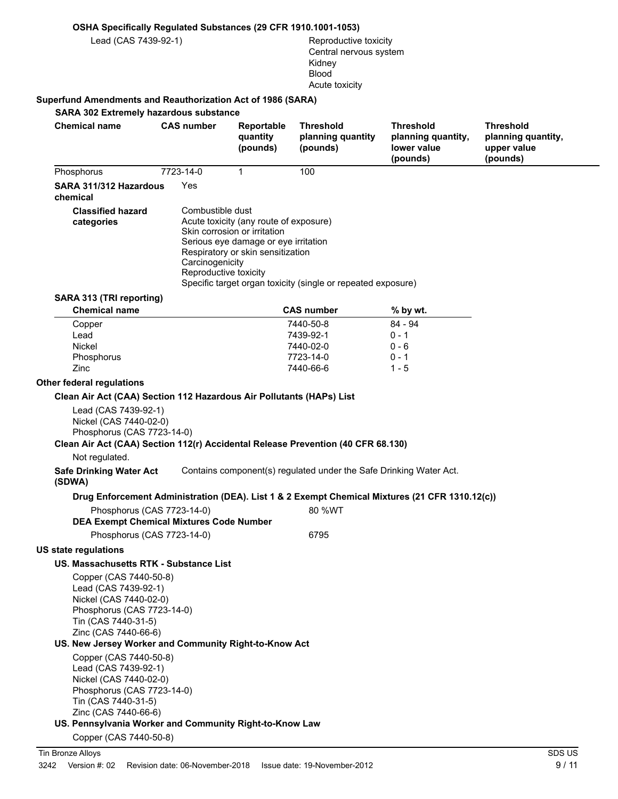#### **OSHA Specifically Regulated Substances (29 CFR 1910.1001-1053)**

Lead (CAS 7439-92-1) Reproductive toxicity

Central nervous system Kidney Blood Acute toxicity

#### **Superfund Amendments and Reauthorization Act of 1986 (SARA)**

**SARA 302 Extremely hazardous substance Chemical name CAS number Reportable quantity (pounds) Threshold planning quantity (pounds) Threshold planning quantity, lower value (pounds) Threshold planning quantity, upper value (pounds)** Phosphorus 7723-14-0 1 100 **SARA 311/312 Hazardous** Yes **chemical** Combustible dust Acute toxicity (any route of exposure) Skin corrosion or irritation Serious eye damage or eye irritation Respiratory or skin sensitization **Carcinogenicity** Reproductive toxicity Specific target organ toxicity (single or repeated exposure) **Classified hazard categories SARA 313 (TRI reporting) Chemical name CAS number % by wt.** Copper 7440-50-8 84 - 94 Lead 7439-92-1 0 - 1 Nickel 7440-02-0 0 - 6 Phosphorus 0 - 1 0 - 1 0 - 1 0 - 1 0 - 1 0 - 1 0 - 1 0 - 1 0 - 1 0 - 1 0 - 1 0 - 1 0 - 1 0 - 1 0 - 1 0 - 1 0 - 1 0 - 1 0 - 1 0 - 1 0 - 1 0 - 1 0 - 1 0 - 1 0 - 1 0 - 1 0 - 1 0 - 1 0 - 1 0 - 1 0 - 1 0 - 1 0 - 1 0 - 1 0 - 1 0 Zinc 7440-66-6 1 - 5 **Other federal regulations Clean Air Act (CAA) Section 112 Hazardous Air Pollutants (HAPs) List** Lead (CAS 7439-92-1) Nickel (CAS 7440-02-0) Phosphorus (CAS 7723-14-0) **Clean Air Act (CAA) Section 112(r) Accidental Release Prevention (40 CFR 68.130)** Not regulated. **Safe Drinking Water Act** Contains component(s) regulated under the Safe Drinking Water Act. **(SDWA) Drug Enforcement Administration (DEA). List 1 & 2 Exempt Chemical Mixtures (21 CFR 1310.12(c))** Phosphorus (CAS 7723-14-0) 80 %WT **DEA Exempt Chemical Mixtures Code Number** Phosphorus (CAS 7723-14-0) 6795 **US state regulations US. Massachusetts RTK - Substance List** Copper (CAS 7440-50-8) Lead (CAS 7439-92-1) Nickel (CAS 7440-02-0) Phosphorus (CAS 7723-14-0) Tin (CAS 7440-31-5) Zinc (CAS 7440-66-6) **US. New Jersey Worker and Community Right-to-Know Act** Copper (CAS 7440-50-8) Lead (CAS 7439-92-1) Nickel (CAS 7440-02-0) Phosphorus (CAS 7723-14-0) Tin (CAS 7440-31-5) Zinc (CAS 7440-66-6) **US. Pennsylvania Worker and Community Right-to-Know Law** Copper (CAS 7440-50-8)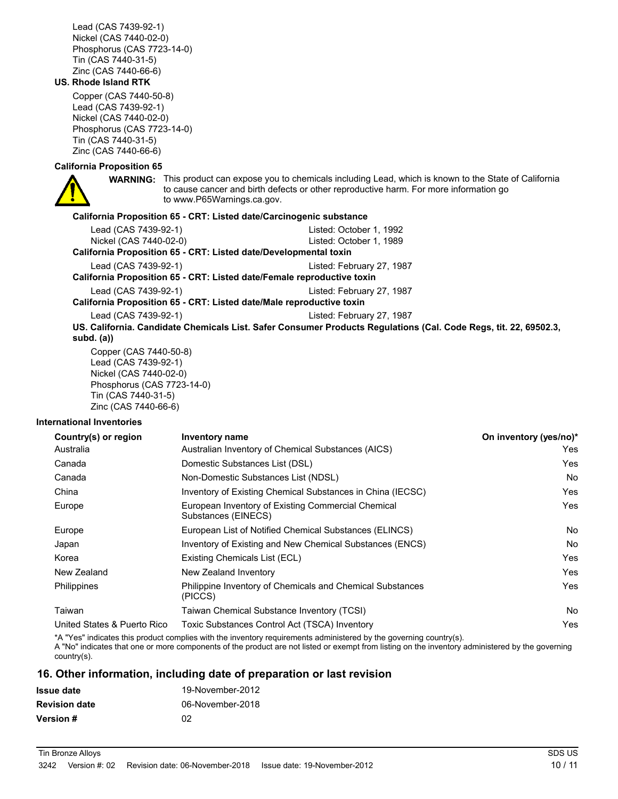Lead (CAS 7439-92-1) Nickel (CAS 7440-02-0) Phosphorus (CAS 7723-14-0) Tin (CAS 7440-31-5) Zinc (CAS 7440-66-6)

#### **US. Rhode Island RTK**

Copper (CAS 7440-50-8) Lead (CAS 7439-92-1) Nickel (CAS 7440-02-0) Phosphorus (CAS 7723-14-0) Tin (CAS 7440-31-5) Zinc (CAS 7440-66-6)

### **California Proposition 65**



**WARNING:** This product can expose you to chemicals including Lead, which is known to the State of California to cause cancer and birth defects or other reproductive harm. For more information go to www.P65Warnings.ca.gov.

### **California Proposition 65 - CRT: Listed date/Carcinogenic substance**

| Lead (CAS 7439-92-1)                                                   | Listed: October 1, 1992                                                                                          |  |  |
|------------------------------------------------------------------------|------------------------------------------------------------------------------------------------------------------|--|--|
| Nickel (CAS 7440-02-0)                                                 | Listed: October 1, 1989                                                                                          |  |  |
| California Proposition 65 - CRT: Listed date/Developmental toxin       |                                                                                                                  |  |  |
| Lead (CAS 7439-92-1)                                                   | Listed: February 27, 1987                                                                                        |  |  |
| California Proposition 65 - CRT: Listed date/Female reproductive toxin |                                                                                                                  |  |  |
| Lead (CAS 7439-92-1)                                                   | Listed: February 27, 1987                                                                                        |  |  |
| California Proposition 65 - CRT: Listed date/Male reproductive toxin   |                                                                                                                  |  |  |
| Lead (CAS 7439-92-1)                                                   | Listed: February 27, 1987                                                                                        |  |  |
|                                                                        | US. California. Candidate Chemicals List. Safer Consumer Products Regulations (Cal. Code Regs, tit. 22, 69502.3, |  |  |
| subd. (a))                                                             |                                                                                                                  |  |  |
| Copper (CAS 7440-50-8)                                                 |                                                                                                                  |  |  |
| Lead (CAS 7439-92-1)                                                   |                                                                                                                  |  |  |
| Nickel (CAS 7440-02-0)                                                 |                                                                                                                  |  |  |

Nickel (CAS 7440-02-0) Phosphorus (CAS 7723-14-0) Tin (CAS 7440-31-5) Zinc (CAS 7440-66-6)

#### **International Inventories**

| Country(s) or region        | Inventory name                                                            | On inventory (yes/no)* |
|-----------------------------|---------------------------------------------------------------------------|------------------------|
| Australia                   | Australian Inventory of Chemical Substances (AICS)                        | Yes                    |
| Canada                      | Domestic Substances List (DSL)                                            | Yes                    |
| Canada                      | Non-Domestic Substances List (NDSL)                                       | No.                    |
| China                       | Inventory of Existing Chemical Substances in China (IECSC)                | Yes                    |
| Europe                      | European Inventory of Existing Commercial Chemical<br>Substances (EINECS) | Yes                    |
| Europe                      | European List of Notified Chemical Substances (ELINCS)                    | No.                    |
| Japan                       | Inventory of Existing and New Chemical Substances (ENCS)                  | No.                    |
| Korea                       | Existing Chemicals List (ECL)                                             | Yes                    |
| New Zealand                 | New Zealand Inventory                                                     | Yes                    |
| Philippines                 | Philippine Inventory of Chemicals and Chemical Substances<br>(PICCS)      | Yes                    |
| Taiwan                      | Taiwan Chemical Substance Inventory (TCSI)                                | <b>No</b>              |
| United States & Puerto Rico | Toxic Substances Control Act (TSCA) Inventory                             | Yes                    |

\*A "Yes" indicates this product complies with the inventory requirements administered by the governing country(s).

A "No" indicates that one or more components of the product are not listed or exempt from listing on the inventory administered by the governing country(s).

### **16. Other information, including date of preparation or last revision**

| <b>Issue date</b>    | 19-November-2012 |
|----------------------|------------------|
| <b>Revision date</b> | 06-November-2018 |
| <b>Version #</b>     | 02               |